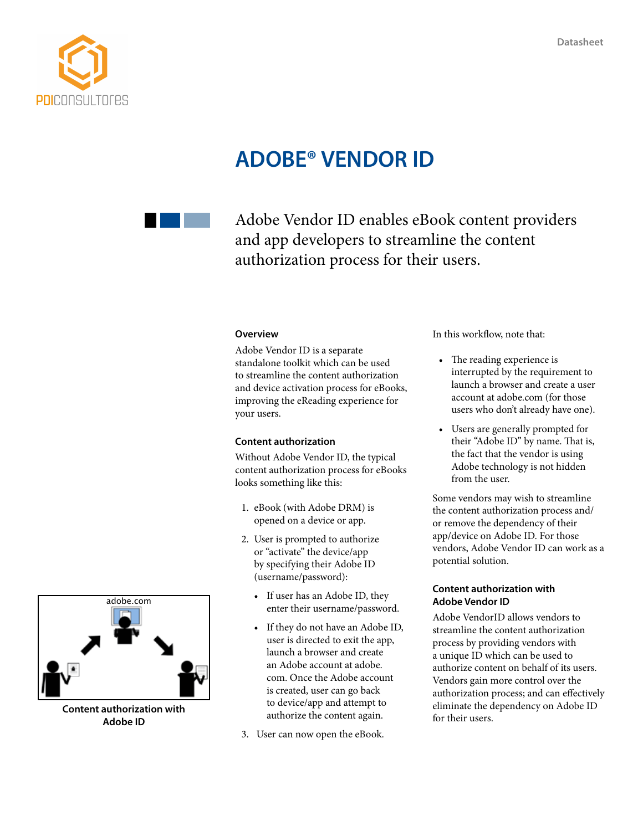

# **ADOBE® VENDOR ID**



Adobe Vendor ID enables eBook content providers and app developers to streamline the content authorization process for their users.

## **Overview**

Adobe Vendor ID is a separate standalone toolkit which can be used to streamline the content authorization and device activation process for eBooks, improving the eReading experience for your users.

### **Content authorization**

Without Adobe Vendor ID, the typical content authorization process for eBooks looks something like this:

- 1. eBook (with Adobe DRM) is opened on a device or app.
- 2. User is prompted to authorize or "activate" the device/app by specifying their Adobe ID (username/password):
	- If user has an Adobe ID, they enter their username/password.
	- If they do not have an Adobe ID, user is directed to exit the app, launch a browser and create an Adobe account at adobe. com. Once the Adobe account is created, user can go back to device/app and attempt to authorize the content again.
- 3. User can now open the eBook.

In this workflow, note that:

- The reading experience is interrupted by the requirement to launch a browser and create a user account at adobe.com (for those users who don't already have one).
- Users are generally prompted for their "Adobe ID" by name. That is, the fact that the vendor is using Adobe technology is not hidden from the user.

Some vendors may wish to streamline the content authorization process and/ or remove the dependency of their app/device on Adobe ID. For those vendors, Adobe Vendor ID can work as a potential solution.

# **Content authorization with Adobe Vendor ID**

Adobe VendorID allows vendors to streamline the content authorization process by providing vendors with a unique ID which can be used to authorize content on behalf of its users. Vendors gain more control over the authorization process; and can effectively eliminate the dependency on Adobe ID for their users.



**Content authorization with Adobe ID**